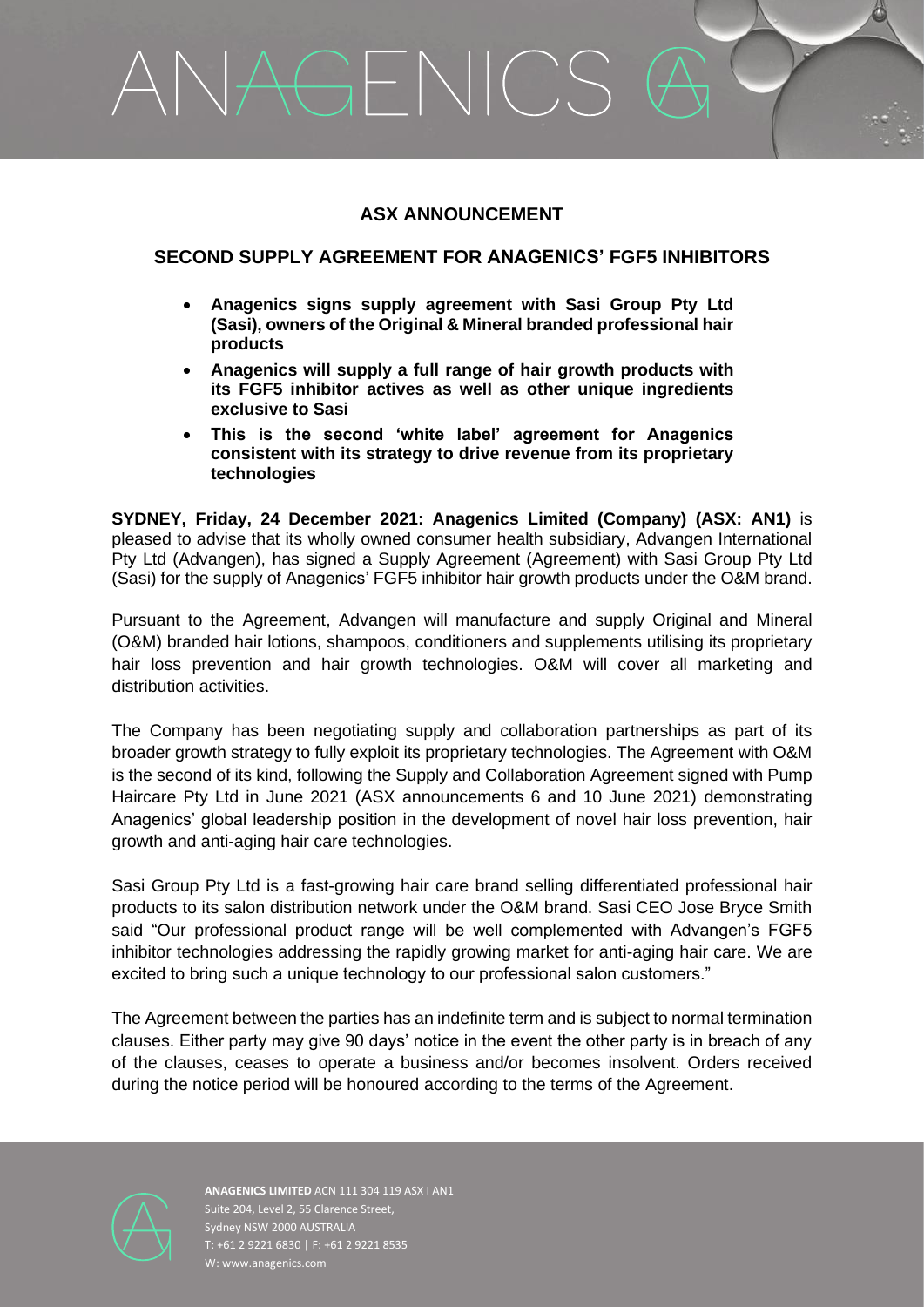# GENICS

# **ASX ANNOUNCEMENT**

# **SECOND SUPPLY AGREEMENT FOR ANAGENICS' FGF5 INHIBITORS**

- **Anagenics signs supply agreement with Sasi Group Pty Ltd (Sasi), owners of the Original & Mineral branded professional hair products**
- **Anagenics will supply a full range of hair growth products with its FGF5 inhibitor actives as well as other unique ingredients exclusive to Sasi**
- **This is the second 'white label' agreement for Anagenics consistent with its strategy to drive revenue from its proprietary technologies**

**SYDNEY, Friday, 24 December 2021: Anagenics Limited (Company) (ASX: AN1)** is pleased to advise that its wholly owned consumer health subsidiary, Advangen International Pty Ltd (Advangen), has signed a Supply Agreement (Agreement) with Sasi Group Pty Ltd (Sasi) for the supply of Anagenics' FGF5 inhibitor hair growth products under the O&M brand.

Pursuant to the Agreement, Advangen will manufacture and supply Original and Mineral (O&M) branded hair lotions, shampoos, conditioners and supplements utilising its proprietary hair loss prevention and hair growth technologies. O&M will cover all marketing and distribution activities.

The Company has been negotiating supply and collaboration partnerships as part of its broader growth strategy to fully exploit its proprietary technologies. The Agreement with O&M is the second of its kind, following the Supply and Collaboration Agreement signed with Pump Haircare Pty Ltd in June 2021 (ASX announcements 6 and 10 June 2021) demonstrating Anagenics' global leadership position in the development of novel hair loss prevention, hair growth and anti-aging hair care technologies.

Sasi Group Pty Ltd is a fast-growing hair care brand selling differentiated professional hair products to its salon distribution network under the O&M brand. Sasi CEO Jose Bryce Smith said "Our professional product range will be well complemented with Advangen's FGF5 inhibitor technologies addressing the rapidly growing market for anti-aging hair care. We are excited to bring such a unique technology to our professional salon customers."

The Agreement between the parties has an indefinite term and is subject to normal termination clauses. Either party may give 90 days' notice in the event the other party is in breach of any of the clauses, ceases to operate a business and/or becomes insolvent. Orders received during the notice period will be honoured according to the terms of the Agreement.



**ANAGENICS LIMITED** ACN 111 304 119 ASX I AN1 Suite 204, Level 2, 55 Clarence Street, Sydney NSW 2000 AUSTRALIA T: +61 2 9221 6830 | F: +61 2 9221 8535 W: www.anagenics.com